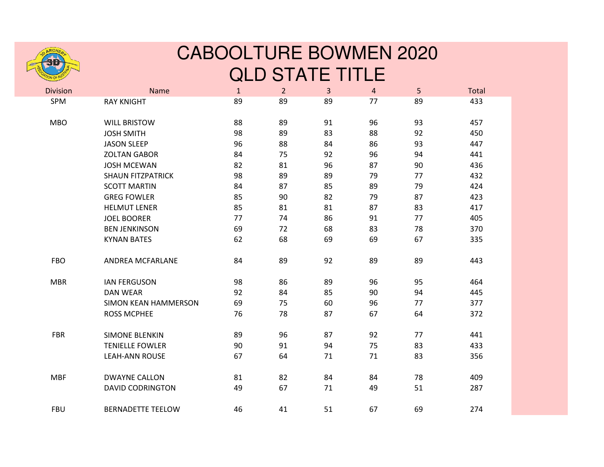

## CABOOLTURE BOWMEN 2020QLD STATE TITLE

| <b>Division</b> | Name                        | $\mathbf{1}$ | $\overline{2}$ | $\overline{3}$ | $\overline{4}$ | 5  | Total |
|-----------------|-----------------------------|--------------|----------------|----------------|----------------|----|-------|
| SPM             | <b>RAY KNIGHT</b>           | 89           | 89             | 89             | 77             | 89 | 433   |
| <b>MBO</b>      | <b>WILL BRISTOW</b>         | 88           | 89             | 91             | 96             | 93 | 457   |
|                 | <b>JOSH SMITH</b>           | 98           | 89             | 83             | 88             | 92 | 450   |
|                 | <b>JASON SLEEP</b>          | 96           | 88             | 84             | 86             | 93 | 447   |
|                 | <b>ZOLTAN GABOR</b>         | 84           | 75             | 92             | 96             | 94 | 441   |
|                 | <b>JOSH MCEWAN</b>          | 82           | 81             | 96             | 87             | 90 | 436   |
|                 | <b>SHAUN FITZPATRICK</b>    | 98           | 89             | 89             | 79             | 77 | 432   |
|                 | <b>SCOTT MARTIN</b>         | 84           | 87             | 85             | 89             | 79 | 424   |
|                 | <b>GREG FOWLER</b>          | 85           | 90             | 82             | 79             | 87 | 423   |
|                 | <b>HELMUT LENER</b>         | 85           | 81             | 81             | 87             | 83 | 417   |
|                 | <b>JOEL BOORER</b>          | 77           | 74             | 86             | 91             | 77 | 405   |
|                 | <b>BEN JENKINSON</b>        | 69           | 72             | 68             | 83             | 78 | 370   |
|                 | <b>KYNAN BATES</b>          | 62           | 68             | 69             | 69             | 67 | 335   |
| <b>FBO</b>      | ANDREA MCFARLANE            | 84           | 89             | 92             | 89             | 89 | 443   |
| <b>MBR</b>      | <b>IAN FERGUSON</b>         | 98           | 86             | 89             | 96             | 95 | 464   |
|                 | <b>DAN WEAR</b>             | 92           | 84             | 85             | 90             | 94 | 445   |
|                 | <b>SIMON KEAN HAMMERSON</b> | 69           | 75             | 60             | 96             | 77 | 377   |
|                 | <b>ROSS MCPHEE</b>          | 76           | 78             | 87             | 67             | 64 | 372   |
| <b>FBR</b>      | <b>SIMONE BLENKIN</b>       | 89           | 96             | 87             | 92             | 77 | 441   |
|                 | <b>TENIELLE FOWLER</b>      | 90           | 91             | 94             | 75             | 83 | 433   |
|                 | <b>LEAH-ANN ROUSE</b>       | 67           | 64             | 71             | 71             | 83 | 356   |
| <b>MBF</b>      | <b>DWAYNE CALLON</b>        | 81           | 82             | 84             | 84             | 78 | 409   |
|                 | <b>DAVID CODRINGTON</b>     | 49           | 67             | 71             | 49             | 51 | 287   |
| <b>FBU</b>      | <b>BERNADETTE TEELOW</b>    | 46           | 41             | 51             | 67             | 69 | 274   |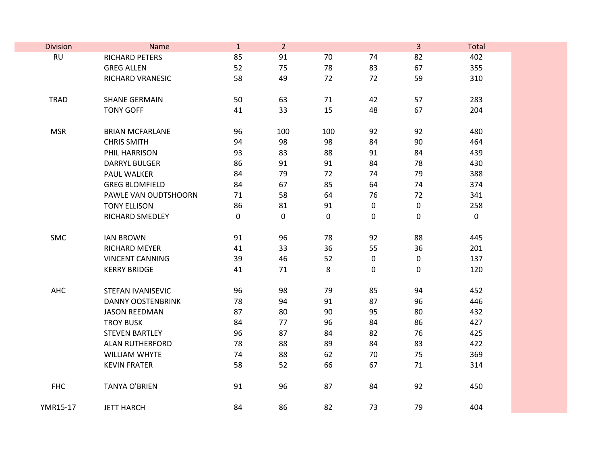| <b>Division</b> | Name                   | $\mathbf{1}$ | $\overline{2}$ |           |             | $\mathbf{3}$     | Total       |
|-----------------|------------------------|--------------|----------------|-----------|-------------|------------------|-------------|
| <b>RU</b>       | RICHARD PETERS         | 85           | 91             | 70        | 74          | 82               | 402         |
|                 | <b>GREG ALLEN</b>      | 52           | 75             | 78        | 83          | 67               | 355         |
|                 | RICHARD VRANESIC       | 58           | 49             | 72        | 72          | 59               | 310         |
|                 |                        |              |                |           |             |                  |             |
| <b>TRAD</b>     | <b>SHANE GERMAIN</b>   | 50           | 63             | 71        | 42          | 57               | 283         |
|                 | <b>TONY GOFF</b>       | 41           | 33             | 15        | 48          | 67               | 204         |
|                 |                        |              |                |           |             |                  |             |
| <b>MSR</b>      | <b>BRIAN MCFARLANE</b> | 96           | 100            | 100       | 92          | 92               | 480         |
|                 | <b>CHRIS SMITH</b>     | 94           | 98             | 98        | 84          | 90               | 464         |
|                 | PHIL HARRISON          | 93           | 83             | 88        | 91          | 84               | 439         |
|                 | <b>DARRYL BULGER</b>   | 86           | 91             | 91        | 84          | 78               | 430         |
|                 | PAUL WALKER            | 84           | 79             | 72        | 74          | 79               | 388         |
|                 | <b>GREG BLOMFIELD</b>  | 84           | 67             | 85        | 64          | 74               | 374         |
|                 | PAWLE VAN OUDTSHOORN   | 71           | 58             | 64        | 76          | 72               | 341         |
|                 | <b>TONY ELLISON</b>    | 86           | 81             | 91        | $\pmb{0}$   | $\boldsymbol{0}$ | 258         |
|                 | RICHARD SMEDLEY        | 0            | 0              | $\pmb{0}$ | $\mathbf 0$ | $\mathbf 0$      | $\mathbf 0$ |
|                 |                        |              |                |           |             |                  |             |
| SMC             | <b>IAN BROWN</b>       | 91           | 96             | 78        | 92          | 88               | 445         |
|                 | RICHARD MEYER          | 41           | 33             | 36        | 55          | 36               | 201         |
|                 | <b>VINCENT CANNING</b> | 39           | 46             | 52        | 0           | $\mathbf 0$      | 137         |
|                 | <b>KERRY BRIDGE</b>    | 41           | 71             | 8         | $\pmb{0}$   | $\mathbf 0$      | 120         |
|                 |                        |              |                |           |             |                  |             |
| AHC             | STEFAN IVANISEVIC      | 96           | 98             | 79        | 85          | 94               | 452         |
|                 | DANNY OOSTENBRINK      | 78           | 94             | 91        | 87          | 96               | 446         |
|                 | <b>JASON REEDMAN</b>   | 87           | 80             | 90        | 95          | 80               | 432         |
|                 | <b>TROY BUSK</b>       | 84           | 77             | 96        | 84          | 86               | 427         |
|                 | <b>STEVEN BARTLEY</b>  | 96           | 87             | 84        | 82          | 76               | 425         |
|                 | <b>ALAN RUTHERFORD</b> | 78           | 88             | 89        | 84          | 83               | 422         |
|                 | <b>WILLIAM WHYTE</b>   | 74           | 88             | 62        | 70          | 75               | 369         |
|                 | <b>KEVIN FRATER</b>    | 58           | 52             | 66        | 67          | 71               | 314         |
|                 |                        |              |                |           |             |                  |             |
| <b>FHC</b>      | <b>TANYA O'BRIEN</b>   | 91           | 96             | 87        | 84          | 92               | 450         |
|                 |                        |              |                |           |             |                  |             |
| YMR15-17        | <b>JETT HARCH</b>      | 84           | 86             | 82        | 73          | 79               | 404         |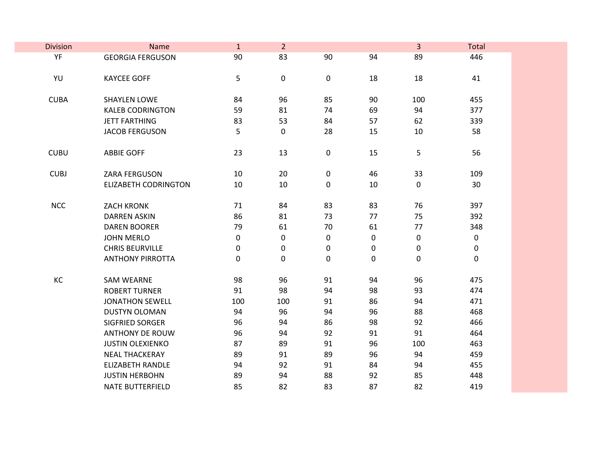| <b>Division</b> | Name                        | $\mathbf{1}$ | $\overline{2}$   |    |           | 3           | Total       |
|-----------------|-----------------------------|--------------|------------------|----|-----------|-------------|-------------|
| YF              | <b>GEORGIA FERGUSON</b>     | 90           | 83               | 90 | 94        | 89          | 446         |
|                 |                             |              |                  |    |           |             |             |
| YU              | <b>KAYCEE GOFF</b>          | 5            | $\boldsymbol{0}$ | 0  | 18        | 18          | 41          |
|                 |                             |              |                  |    |           |             |             |
| <b>CUBA</b>     | SHAYLEN LOWE                | 84           | 96               | 85 | 90        | 100         | 455         |
|                 | <b>KALEB CODRINGTON</b>     | 59           | 81               | 74 | 69        | 94          | 377         |
|                 | <b>JETT FARTHING</b>        | 83           | 53               | 84 | 57        | 62          | 339         |
|                 | <b>JACOB FERGUSON</b>       | 5            | $\pmb{0}$        | 28 | 15        | 10          | 58          |
| <b>CUBU</b>     | <b>ABBIE GOFF</b>           | 23           | 13               | 0  | 15        | 5           | 56          |
|                 |                             |              |                  |    |           |             |             |
| <b>CUBJ</b>     | ZARA FERGUSON               | 10           | 20               | 0  | 46        | 33          | 109         |
|                 | <b>ELIZABETH CODRINGTON</b> | 10           | 10               | 0  | 10        | $\mathbf 0$ | 30          |
|                 |                             |              |                  |    |           |             |             |
| <b>NCC</b>      | <b>ZACH KRONK</b>           | 71           | 84               | 83 | 83        | 76          | 397         |
|                 | <b>DARREN ASKIN</b>         | 86           | 81               | 73 | 77        | 75          | 392         |
|                 | <b>DAREN BOORER</b>         | 79           | 61               | 70 | 61        | 77          | 348         |
|                 | <b>JOHN MERLO</b>           | $\pmb{0}$    | $\mathbf 0$      | 0  | $\pmb{0}$ | $\pmb{0}$   | $\mathbf 0$ |
|                 | <b>CHRIS BEURVILLE</b>      | $\pmb{0}$    | $\mathbf 0$      | 0  | $\pmb{0}$ | $\pmb{0}$   | $\pmb{0}$   |
|                 | <b>ANTHONY PIRROTTA</b>     | $\pmb{0}$    | $\pmb{0}$        | 0  | $\pmb{0}$ | $\pmb{0}$   | $\pmb{0}$   |
| KC              | <b>SAM WEARNE</b>           | 98           | 96               | 91 | 94        | 96          | 475         |
|                 | <b>ROBERT TURNER</b>        | 91           | 98               | 94 | 98        | 93          | 474         |
|                 | <b>JONATHON SEWELL</b>      | 100          | 100              | 91 | 86        | 94          | 471         |
|                 | <b>DUSTYN OLOMAN</b>        | 94           | 96               | 94 | 96        | 88          | 468         |
|                 | SIGFRIED SORGER             | 96           | 94               | 86 | 98        | 92          | 466         |
|                 | <b>ANTHONY DE ROUW</b>      | 96           | 94               | 92 | 91        | 91          | 464         |
|                 | <b>JUSTIN OLEXIENKO</b>     | 87           | 89               | 91 | 96        | 100         | 463         |
|                 | <b>NEAL THACKERAY</b>       | 89           | 91               | 89 | 96        | 94          | 459         |
|                 | <b>ELIZABETH RANDLE</b>     | 94           | 92               | 91 | 84        | 94          | 455         |
|                 | <b>JUSTIN HERBOHN</b>       | 89           | 94               | 88 | 92        | 85          | 448         |
|                 | <b>NATE BUTTERFIELD</b>     | 85           | 82               | 83 | 87        | 82          | 419         |
|                 |                             |              |                  |    |           |             |             |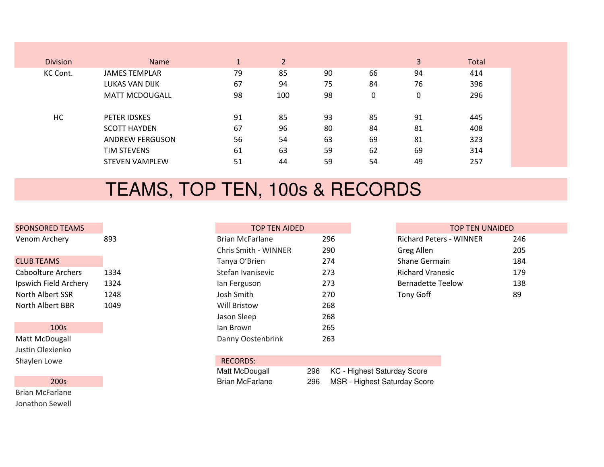| <b>Division</b> | <b>Name</b>            | $\mathbf{1}$ | 2   |    |    | 3           | Total |
|-----------------|------------------------|--------------|-----|----|----|-------------|-------|
| KC Cont.        | <b>JAMES TEMPLAR</b>   | 79           | 85  | 90 | 66 | 94          | 414   |
|                 | LUKAS VAN DIJK         | 67           | 94  | 75 | 84 | 76          | 396   |
|                 | <b>MATT MCDOUGALL</b>  | 98           | 100 | 98 | 0  | $\mathbf 0$ | 296   |
|                 |                        |              |     |    |    |             |       |
| НC              | PETER IDSKES           | 91           | 85  | 93 | 85 | 91          | 445   |
|                 | <b>SCOTT HAYDEN</b>    | 67           | 96  | 80 | 84 | 81          | 408   |
|                 | <b>ANDREW FERGUSON</b> | 56           | 54  | 63 | 69 | 81          | 323   |
|                 | TIM STEVENS            | 61           | 63  | 59 | 62 | 69          | 314   |
|                 | <b>STEVEN VAMPLEW</b>  | 51           | 44  | 59 | 54 | 49          | 257   |
|                 |                        |              |     |    |    |             |       |

## TEAMS, TOP TEN, 100s & RECORDS

| <b>SPONSORED TEAMS</b>    |      | <b>TOP TEN AIDED</b>   |
|---------------------------|------|------------------------|
| Venom Archery             | 893  | <b>Brian McFarlane</b> |
|                           |      | Chris Smith - WINNER   |
| <b>CLUB TEAMS</b>         |      | Tanya O'Brien          |
| <b>Caboolture Archers</b> | 1334 | Stefan Ivanisevic      |
| Ipswich Field Archery     | 1324 | lan Ferguson           |
| North Albert SSR          | 1248 | Josh Smith             |
| North Albert BBR          | 1049 | <b>Will Bristow</b>    |
|                           |      | .                      |

## 100s

Matt McDougallJustin OlexienkoShaylen Lowe

## 200s

Brian McFarlaneJonathon Sewell

| <b>EAMS</b> |      | <b>TOP TEN AIDED</b>   |     | <b>TOP TEN UNAIDED</b>         |     |
|-------------|------|------------------------|-----|--------------------------------|-----|
| ΛY.         | 893  | <b>Brian McFarlane</b> | 296 | <b>Richard Peters - WINNER</b> | 246 |
|             |      | Chris Smith - WINNER   | 290 | Greg Allen                     | 205 |
|             |      | Tanya O'Brien          | 274 | Shane Germain                  | 184 |
| chers       | 1334 | Stefan Ivanisevic      | 273 | <b>Richard Vranesic</b>        | 179 |
| Archery     | 1324 | lan Ferguson           | 273 | <b>Bernadette Teelow</b>       | 138 |
| SR          | 1248 | Josh Smith             | 270 | Tony Goff                      | 89  |
| 3BR         | 1049 | Will Bristow           | 268 |                                |     |
|             |      | Jason Sleep            | 268 |                                |     |
|             |      | lan Brown              | 265 |                                |     |
| all         |      | Danny Oostenbrink      | 263 |                                |     |
|             |      |                        |     |                                |     |

| e  | <b>RECORDS:</b>        |     |                                     |
|----|------------------------|-----|-------------------------------------|
|    | Matt McDougall         | 296 | KC - Highest Saturday Score         |
| 0s | <b>Brian McFarlane</b> | 296 | <b>MSR</b> - Highest Saturday Score |

| P TEN AIDED   |     | <b>TOP TEN UNAIDED</b>         |     |
|---------------|-----|--------------------------------|-----|
| ane           | 296 | <b>Richard Peters - WINNER</b> | 246 |
| <b>WINNER</b> | 290 | Greg Allen                     | 205 |
| n             | 274 | <b>Shane Germain</b>           | 184 |
| evic          | 273 | <b>Richard Vranesic</b>        | 179 |
|               | 273 | <b>Bernadette Teelow</b>       | 138 |
|               | 270 | Tony Goff                      | 89  |
|               |     |                                |     |